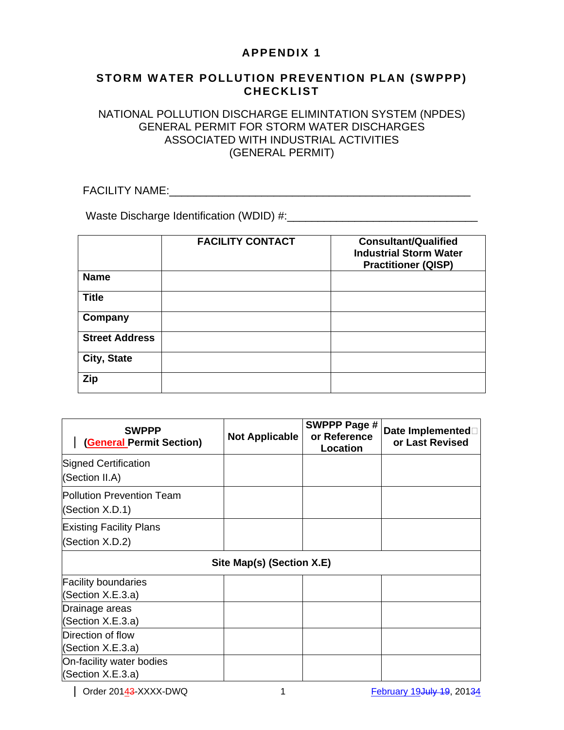## **APPENDIX 1**

#### **STORM WATER POLLUTION PREVENTION PLAN (SWPPP) CHECKLIST**

#### NATIONAL POLLUTION DISCHARGE ELIMINTATION SYSTEM (NPDES) GENERAL PERMIT FOR STORM WATER DISCHARGES ASSOCIATED WITH INDUSTRIAL ACTIVITIES (GENERAL PERMIT)

FACILITY NAME:\_\_\_\_\_\_\_\_\_\_\_\_\_\_\_\_\_\_\_\_\_\_\_\_\_\_\_\_\_\_\_\_\_\_\_\_\_\_\_\_\_\_\_\_\_\_\_\_\_

Waste Discharge Identification (WDID) #:\_\_\_\_\_\_\_\_\_\_\_\_\_\_\_\_\_\_\_\_\_\_\_\_\_\_\_\_\_\_\_

|                       | <b>FACILITY CONTACT</b> | <b>Consultant/Qualified</b><br><b>Industrial Storm Water</b><br><b>Practitioner (QISP)</b> |
|-----------------------|-------------------------|--------------------------------------------------------------------------------------------|
| <b>Name</b>           |                         |                                                                                            |
| <b>Title</b>          |                         |                                                                                            |
| Company               |                         |                                                                                            |
| <b>Street Address</b> |                         |                                                                                            |
| City, State           |                         |                                                                                            |
| Zip                   |                         |                                                                                            |

| <b>SWPPP</b><br><b>General Permit Section)</b> | <b>Not Applicable</b> | SWPPP Page #<br>or Reference<br>Location | Date Implemented<br>or Last Revised |  |
|------------------------------------------------|-----------------------|------------------------------------------|-------------------------------------|--|
| <b>Signed Certification</b>                    |                       |                                          |                                     |  |
| (Section II.A)                                 |                       |                                          |                                     |  |
| <b>Pollution Prevention Team</b>               |                       |                                          |                                     |  |
| (Section X.D.1)                                |                       |                                          |                                     |  |
| <b>Existing Facility Plans</b>                 |                       |                                          |                                     |  |
| (Section X.D.2)                                |                       |                                          |                                     |  |
| Site Map(s) (Section X.E)                      |                       |                                          |                                     |  |
| <b>Facility boundaries</b>                     |                       |                                          |                                     |  |
| (Section X.E.3.a)                              |                       |                                          |                                     |  |
| Drainage areas                                 |                       |                                          |                                     |  |
| (Section X.E.3.a)                              |                       |                                          |                                     |  |
| Direction of flow                              |                       |                                          |                                     |  |
| (Section X.E.3.a)                              |                       |                                          |                                     |  |
| On-facility water bodies                       |                       |                                          |                                     |  |
| (Section X.E.3.a)                              |                       |                                          |                                     |  |

| Order 20143-XXXX-DWQ 1 1 February 19July 19, 20134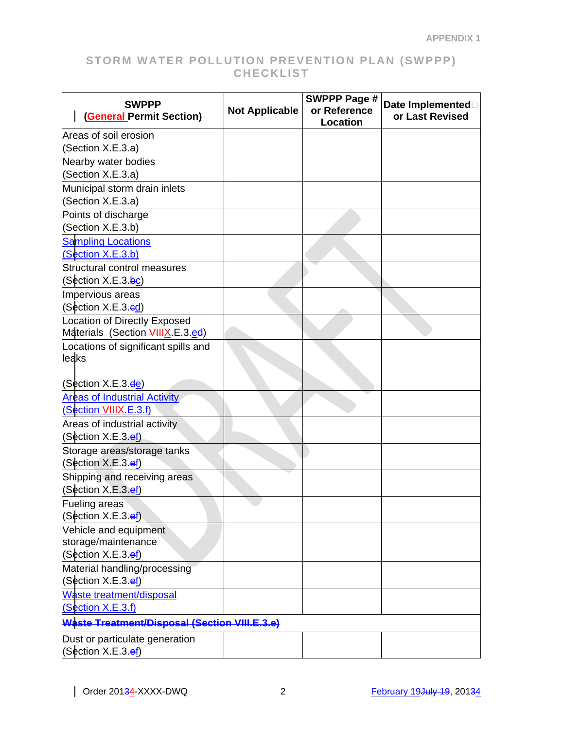| <b>SWPPP</b><br><b>General Permit Section)</b>                                      | <b>Not Applicable</b> | <b>SWPPP Page #</b><br>or Reference<br><b>Location</b> | Date Implemented<br>or Last Revised |
|-------------------------------------------------------------------------------------|-----------------------|--------------------------------------------------------|-------------------------------------|
| Areas of soil erosion                                                               |                       |                                                        |                                     |
| (Section X.E.3.a)                                                                   |                       |                                                        |                                     |
| Nearby water bodies                                                                 |                       |                                                        |                                     |
| (Section X.E.3.a)                                                                   |                       |                                                        |                                     |
| Municipal storm drain inlets<br>(Section X.E.3.a)                                   |                       |                                                        |                                     |
| Points of discharge                                                                 |                       |                                                        |                                     |
| (Section X.E.3.b)                                                                   |                       |                                                        |                                     |
| <b>Sampling Locations</b><br>(Section X.E.3.b)                                      |                       |                                                        |                                     |
| Structural control measures                                                         |                       |                                                        |                                     |
| (Section X.E.3.bc)                                                                  |                       |                                                        |                                     |
| Impervious areas                                                                    |                       |                                                        |                                     |
| (Section X.E.3.ed)                                                                  |                       |                                                        |                                     |
| <b>Location of Directly Exposed</b><br>Materials (Section <del>VIIIX</del> .E.3.ed) |                       |                                                        |                                     |
| Locations of significant spills and                                                 |                       |                                                        |                                     |
| leaks                                                                               |                       |                                                        |                                     |
| (Section X.E.3.ee)                                                                  |                       |                                                        |                                     |
| <b>Areas of Industrial Activity</b>                                                 |                       |                                                        |                                     |
| (Section VIIIX.E.3.f)                                                               |                       |                                                        |                                     |
| Areas of industrial activity                                                        |                       |                                                        |                                     |
| (Section X.E.3.ef)                                                                  |                       |                                                        |                                     |
| Storage areas/storage tanks<br>(Section X.E.3.ef)                                   |                       |                                                        |                                     |
| Shipping and receiving areas<br>(Section X.E.3.ef)                                  |                       |                                                        |                                     |
| Fueling areas                                                                       |                       |                                                        |                                     |
| (Section X.E.3.ef)                                                                  |                       |                                                        |                                     |
| Vehicle and equipment                                                               |                       |                                                        |                                     |
| storage/maintenance                                                                 |                       |                                                        |                                     |
| (Section X.E.3.ef)                                                                  |                       |                                                        |                                     |
| Material handling/processing                                                        |                       |                                                        |                                     |
| (Section X.E.3.e <u>f</u> )                                                         |                       |                                                        |                                     |
| Waste treatment/disposal<br>(Section X.E.3.f)                                       |                       |                                                        |                                     |
| Waste Treatment/Disposal (Section VIII.E.3.e)                                       |                       |                                                        |                                     |
| Dust or particulate generation                                                      |                       |                                                        |                                     |
| (Section X.E.3.e <u>f</u> )                                                         |                       |                                                        |                                     |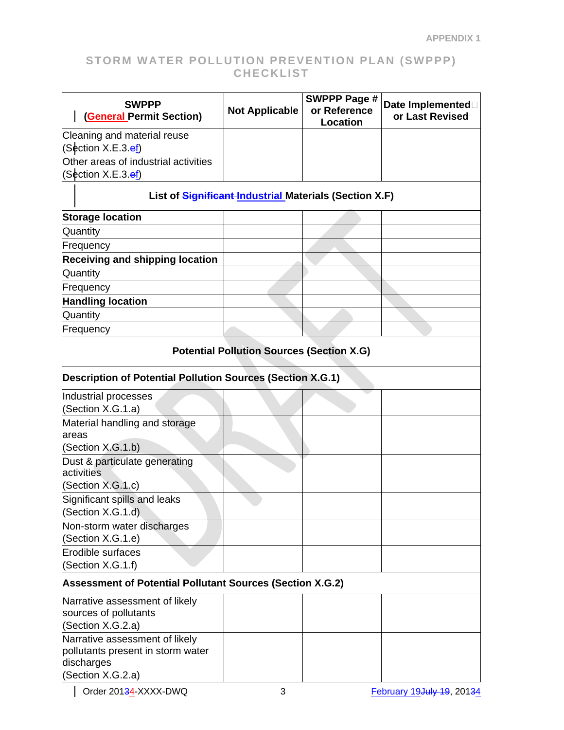| <b>SWPPP</b><br><b>(General Permit Section)</b>                   | <b>Not Applicable</b> | <b>SWPPP Page #</b><br>or Reference<br>Location | Date Implemented<br>or Last Revised |  |
|-------------------------------------------------------------------|-----------------------|-------------------------------------------------|-------------------------------------|--|
| Cleaning and material reuse                                       |                       |                                                 |                                     |  |
| (Section X.E.3.e <u>f</u> )                                       |                       |                                                 |                                     |  |
| Other areas of industrial activities                              |                       |                                                 |                                     |  |
| (Section X.E.3.e <u>f</u> )                                       |                       |                                                 |                                     |  |
| List of Significant Industrial Materials (Section X.F)            |                       |                                                 |                                     |  |
| <b>Storage location</b>                                           |                       |                                                 |                                     |  |
| Quantity                                                          |                       |                                                 |                                     |  |
| Frequency                                                         |                       |                                                 |                                     |  |
| <b>Receiving and shipping location</b>                            |                       |                                                 |                                     |  |
| Quantity                                                          |                       |                                                 |                                     |  |
| Frequency                                                         |                       |                                                 |                                     |  |
| <b>Handling location</b>                                          |                       |                                                 |                                     |  |
| Quantity                                                          |                       |                                                 |                                     |  |
| Frequency                                                         |                       |                                                 |                                     |  |
| <b>Potential Pollution Sources (Section X.G)</b>                  |                       |                                                 |                                     |  |
| <b>Description of Potential Pollution Sources (Section X.G.1)</b> |                       |                                                 |                                     |  |
| Industrial processes<br>(Section X.G.1.a)                         |                       |                                                 |                                     |  |
| Material handling and storage<br>areas                            |                       |                                                 |                                     |  |
| (Section X.G.1.b)                                                 |                       |                                                 |                                     |  |
| Dust & particulate generating                                     |                       |                                                 |                                     |  |
| activities                                                        |                       |                                                 |                                     |  |
| (Section X.G.1.c)<br>Significant spills and leaks                 |                       |                                                 |                                     |  |
| (Section X.G.1.d)                                                 |                       |                                                 |                                     |  |
| Non-storm water discharges<br>(Section X.G.1.e)                   |                       |                                                 |                                     |  |
| Erodible surfaces                                                 |                       |                                                 |                                     |  |
| (Section X.G.1.f)                                                 |                       |                                                 |                                     |  |
| Assessment of Potential Pollutant Sources (Section X.G.2)         |                       |                                                 |                                     |  |
| Narrative assessment of likely                                    |                       |                                                 |                                     |  |
| sources of pollutants                                             |                       |                                                 |                                     |  |
| (Section X.G.2.a)                                                 |                       |                                                 |                                     |  |
| Narrative assessment of likely                                    |                       |                                                 |                                     |  |
| pollutants present in storm water<br>discharges                   |                       |                                                 |                                     |  |
| (Section X.G.2.a)                                                 |                       |                                                 |                                     |  |
|                                                                   |                       |                                                 |                                     |  |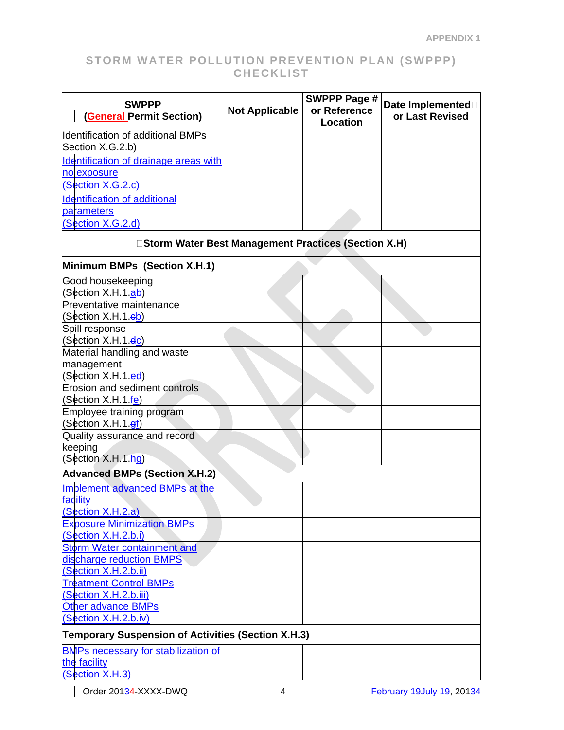| <b>SWPPP</b><br><b>Not Applicable</b><br><b>(General Permit Section)</b> | <b>SWPPP Page #</b><br>Date Implemented<br>or Reference<br>or Last Revised<br><b>Location</b> |
|--------------------------------------------------------------------------|-----------------------------------------------------------------------------------------------|
| Identification of additional BMPs                                        |                                                                                               |
| Section X.G.2.b)                                                         |                                                                                               |
| Identification of drainage areas with                                    |                                                                                               |
| no exposure                                                              |                                                                                               |
| (Section X.G.2.c)                                                        |                                                                                               |
| <b>Identification of additional</b>                                      |                                                                                               |
| parameters                                                               |                                                                                               |
| (Section X.G.2.d)                                                        |                                                                                               |
| □Storm Water Best Management Practices (Section X.H)                     |                                                                                               |
| Minimum BMPs (Section X.H.1)                                             |                                                                                               |
| Good housekeeping                                                        |                                                                                               |
| (Section X.H.1.ab)                                                       |                                                                                               |
| Preventative maintenance                                                 |                                                                                               |
| (Section X.H.1.eb)<br>Spill response                                     |                                                                                               |
| (Section X.H.1.e <mark>c</mark> )                                        |                                                                                               |
| Material handling and waste                                              |                                                                                               |
| management                                                               |                                                                                               |
| (Section X.H.1.ed)                                                       |                                                                                               |
| <b>Erosion and sediment controls</b>                                     |                                                                                               |
| (Section X.H.1.fe)                                                       |                                                                                               |
| Employee training program                                                |                                                                                               |
| (Section X.H.1. <u>ef</u> )<br>Quality assurance and record              |                                                                                               |
| keeping                                                                  |                                                                                               |
| (Section X.H.1 hg)                                                       |                                                                                               |
| <b>Advanced BMPs (Section X.H.2)</b>                                     |                                                                                               |
| Implement advanced BMPs at the                                           |                                                                                               |
| facility                                                                 |                                                                                               |
| (Section X.H.2.a)                                                        |                                                                                               |
| <b>Exposure Minimization BMPs</b>                                        |                                                                                               |
| (Section X.H.2.b.i)                                                      |                                                                                               |
| Storm Water containment and                                              |                                                                                               |
| discharge reduction BMPS                                                 |                                                                                               |
| (Section X.H.2.b.ii)                                                     |                                                                                               |
| <b>Treatment Control BMPs</b>                                            |                                                                                               |
| (Section X.H.2.b.iii)                                                    |                                                                                               |
| <b>Other advance BMPs</b><br>(Section X.H.2.b.iv)                        |                                                                                               |
| <b>Temporary Suspension of Activities (Section X.H.3)</b>                |                                                                                               |
| <b>BMPs necessary for stabilization of</b>                               |                                                                                               |
| the facility                                                             |                                                                                               |
| (Section X.H.3)                                                          |                                                                                               |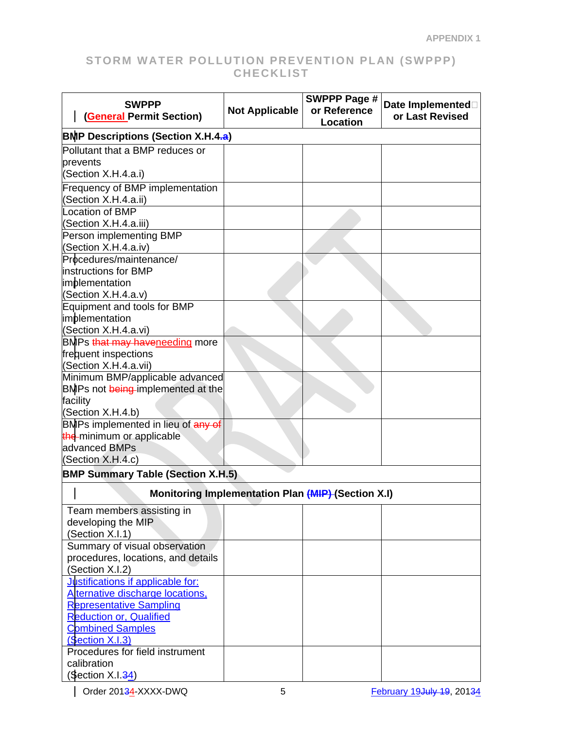| <b>SWPPP</b>                                              | <b>Not Applicable</b> | <b>SWPPP Page #</b><br>or Reference | Date Implemented |  |
|-----------------------------------------------------------|-----------------------|-------------------------------------|------------------|--|
| <b>(General Permit Section)</b>                           |                       | Location                            | or Last Revised  |  |
| <b>BMP Descriptions (Section X.H.4.a)</b>                 |                       |                                     |                  |  |
| Pollutant that a BMP reduces or                           |                       |                                     |                  |  |
| prevents                                                  |                       |                                     |                  |  |
| (Section X.H.4.a.i)                                       |                       |                                     |                  |  |
| <b>Frequency of BMP implementation</b>                    |                       |                                     |                  |  |
| (Section X.H.4.a.ii)                                      |                       |                                     |                  |  |
| Location of BMP                                           |                       |                                     |                  |  |
| (Section X.H.4.a.iii)                                     |                       |                                     |                  |  |
| Person implementing BMP                                   |                       |                                     |                  |  |
| (Section X.H.4.a.iv)                                      |                       |                                     |                  |  |
| Procedures/maintenance/<br>instructions for BMP           |                       |                                     |                  |  |
| implementation                                            |                       |                                     |                  |  |
| (Section X.H.4.a.v)                                       |                       |                                     |                  |  |
| Equipment and tools for BMP                               |                       |                                     |                  |  |
| implementation                                            |                       |                                     |                  |  |
| (Section X.H.4.a.vi)                                      |                       |                                     |                  |  |
| BMPs that may haveneeding more                            |                       |                                     |                  |  |
| frequent inspections                                      |                       |                                     |                  |  |
| (Section X.H.4.a.vii)                                     |                       |                                     |                  |  |
| Minimum BMP/applicable advanced                           |                       |                                     |                  |  |
| BMPs not being implemented at the                         |                       |                                     |                  |  |
| facility                                                  |                       |                                     |                  |  |
| (Section X.H.4.b)                                         |                       |                                     |                  |  |
| BMPs implemented in lieu of any of                        |                       |                                     |                  |  |
| the minimum or applicable                                 |                       |                                     |                  |  |
| advanced BMPs                                             |                       |                                     |                  |  |
| (Section X.H.4.c)                                         |                       |                                     |                  |  |
| <b>BMP Summary Table (Section X.H.5)</b>                  |                       |                                     |                  |  |
| <b>Monitoring Implementation Plan (MIP) (Section X.I)</b> |                       |                                     |                  |  |
| Team members assisting in                                 |                       |                                     |                  |  |
| developing the MIP                                        |                       |                                     |                  |  |
| (Section X.I.1)                                           |                       |                                     |                  |  |
| Summary of visual observation                             |                       |                                     |                  |  |
| procedures, locations, and details                        |                       |                                     |                  |  |
| (Section X.I.2)                                           |                       |                                     |                  |  |
| Justifications if applicable for:                         |                       |                                     |                  |  |
| Alternative discharge locations,                          |                       |                                     |                  |  |
| <b>Representative Sampling</b>                            |                       |                                     |                  |  |
| <b>Reduction or, Qualified</b>                            |                       |                                     |                  |  |
| <b>Combined Samples</b>                                   |                       |                                     |                  |  |
| (Section X.I.3)                                           |                       |                                     |                  |  |
| Procedures for field instrument                           |                       |                                     |                  |  |
| calibration                                               |                       |                                     |                  |  |
| (Section X.I.34)                                          |                       |                                     |                  |  |

| Order 20134-XXXX-DWQ 5 5 February 19July 19, 20134